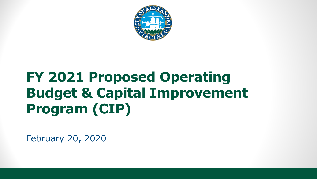

## **FY 2021 Proposed Operating Budget & Capital Improvement Program (CIP)**

February 20, 2020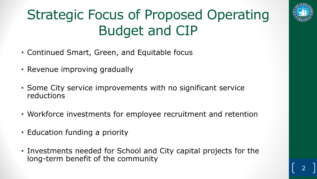### Strategic Focus of Proposed Operating Budget and CIP



- Continued Smart, Green, and Equitable focus
- Revenue improving gradually
- Some City service improvements with no significant service reductions
- Workforce investments for employee recruitment and retention
- Education funding a priority
- Investments needed for School and City capital projects for the long-term benefit of the community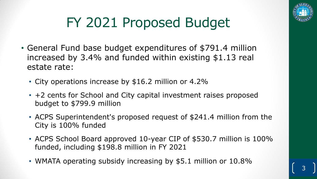

# FY 2021 Proposed Budget

- General Fund base budget expenditures of \$791.4 million increased by 3.4% and funded within existing \$1.13 real estate rate:
	- City operations increase by \$16.2 million or 4.2%
	- +2 cents for School and City capital investment raises proposed budget to \$799.9 million
	- ACPS Superintendent's proposed request of \$241.4 million from the City is 100% funded
	- ACPS School Board approved 10-year CIP of \$530.7 million is 100% funded, including \$198.8 million in FY 2021
	- WMATA operating subsidy increasing by \$5.1 million or 10.8%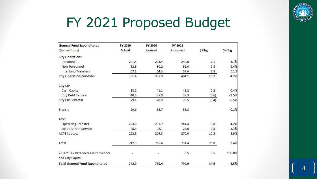

#### FY 2021 Proposed Budget

| <b>General Fund Expenditures</b>                        | FY 2019 | FY 2020        | FY 2021  |        |         |
|---------------------------------------------------------|---------|----------------|----------|--------|---------|
| (\$ in millions)                                        | Actual  | <b>Revised</b> | Proposed | \$ Chg | % Chg   |
| <b>City Operations</b>                                  |         |                |          |        |         |
| Personnel                                               | 221.5   | 233.4          | 240.6    | 7.1    | 3.1%    |
| Non-Personnel                                           | 92.9    | 90.2           | 96.0     | 5.8    | 6.4%    |
| <b>Interfund Transfers</b>                              | 67.1    | 64.3           | 67.6     | 3.3    | 5.1%    |
| <b>City Operations Subtotal</b>                         | 381.4   | 387.9          | 404.1    | 16.2   | 4.2%    |
| City CIP                                                |         |                |          |        |         |
| Cash Capital                                            | 38.2    | 41.1           | 41.2     | 0.2    | 0.4%    |
| City Debt Service                                       | 40.9    | 37.9           | 37.3     | (0.6)  | $-1.5%$ |
| City CIP Subtotal                                       | 79.1    | 78.9           | 78.5     | (0.4)  | $-0.5%$ |
| Transit                                                 | 29.6    | 38.7           | 38.8     | a.     | 0.1%    |
| ACPS                                                    |         |                |          |        |         |
| <b>Operating Transfer</b>                               | 223.8   | 231.7          | 241.4    | 9.8    | 4.2%    |
| Schools Debt Service                                    | 28.9    | 28.1           | 28.6     | 0.5    | 1.7%    |
| <b>ACPS Subtotal</b>                                    | 252.8   | 259.8          | 270.0    | 10.2   | 3.9%    |
| Total                                                   | 742.9   | 765.4          | 791.4    | 26.0   | 3.4%    |
| 2-Cent Tax Rate Increase for School<br>and City Capital |         | ÷.             | 8.5      | 8.5    | 100.0%  |
| <b>Total General Fund Expenditures</b>                  | 742.9   | 765.4          | 799.9    | 34.6   | 4.5%    |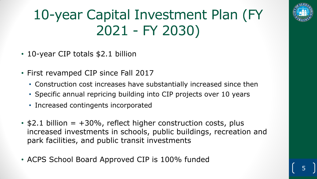## 10-year Capital Investment Plan (FY 2021 - FY 2030)



- 10-year CIP totals \$2.1 billion
- First revamped CIP since Fall 2017
	- Construction cost increases have substantially increased since then
	- Specific annual repricing building into CIP projects over 10 years
	- Increased contingents incorporated
- $$2.1$  billion =  $+30\%$ , reflect higher construction costs, plus increased investments in schools, public buildings, recreation and park facilities, and public transit investments
- ACPS School Board Approved CIP is 100% funded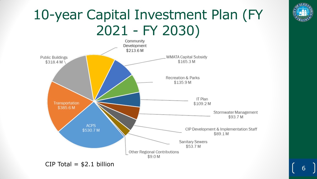#### 10-year Capital Investment Plan (FY 2021 - FY 2030)





6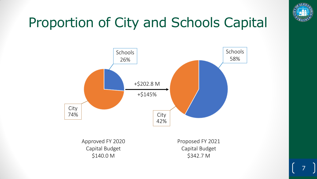

7

## Proportion of City and Schools Capital



Approved FY 2020 Capital Budget \$140.0 M

Proposed FY 2021 Capital Budget \$342.7 M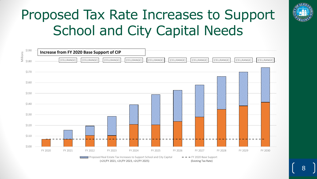# Proposed Tax Rate Increases to Support School and City Capital Needs